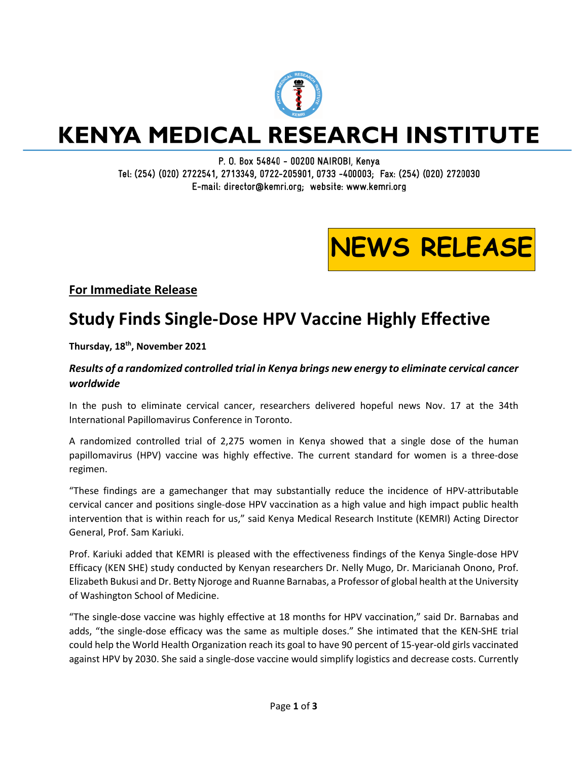

## **KENYA MEDICAL RESEARCH INSTITUTE**

P. O. Box 54840 - 00200 NAIROBI, Kenya Tel: (254) (020) 2722541, 2713349, 0722-205901, 0733 -400003; Fax: (254) (020) 2720030 E-mail: director@kemri.org; website: www.kemri.org

# **NEWS RELEASE**

### **For Immediate Release**

### **Study Finds Single-Dose HPV Vaccine Highly Effective**

### **Thursday, 18th, November 2021**

### *Results of a randomized controlled trial in Kenya brings new energy to eliminate cervical cancer worldwide*

In the push to eliminate cervical cancer, researchers delivered hopeful news Nov. 17 at the 34th International Papillomavirus Conference in Toronto.

A randomized controlled trial of 2,275 women in Kenya showed that a single dose of the human papillomavirus (HPV) vaccine was highly effective. The current standard for women is a three-dose regimen.

"These findings are a gamechanger that may substantially reduce the incidence of HPV-attributable cervical cancer and positions single-dose HPV vaccination as a high value and high impact public health intervention that is within reach for us," said Kenya Medical Research Institute (KEMRI) Acting Director General, Prof. Sam Kariuki.

Prof. Kariuki added that KEMRI is pleased with the effectiveness findings of the Kenya Single-dose HPV Efficacy (KEN SHE) study conducted by Kenyan researchers Dr. Nelly Mugo, Dr. Maricianah Onono, Prof. Elizabeth Bukusi and Dr. Betty Njoroge and Ruanne Barnabas, a Professor of global health at the University of Washington School of Medicine.

"The single-dose vaccine was highly effective at 18 months for HPV vaccination," said Dr. Barnabas and adds, "the single-dose efficacy was the same as multiple doses." She intimated that the KEN-SHE trial could help the World Health Organization reach its goal to have 90 percent of 15-year-old girls vaccinated against HPV by 2030. She said a single-dose vaccine would simplify logistics and decrease costs. Currently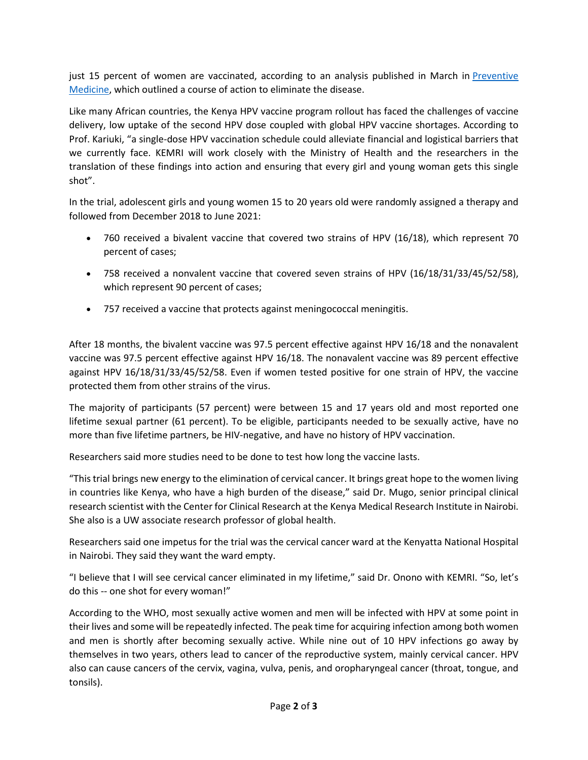just 15 percent of women are vaccinated, according to an analysis published in March in [Preventive](https://www.sciencedirect.com/journal/preventive-medicine/vol/144/suppl/C)  [Medicine,](https://www.sciencedirect.com/journal/preventive-medicine/vol/144/suppl/C) which outlined a course of action to eliminate the disease.

Like many African countries, the Kenya HPV vaccine program rollout has faced the challenges of vaccine delivery, low uptake of the second HPV dose coupled with global HPV vaccine shortages. According to Prof. Kariuki, "a single-dose HPV vaccination schedule could alleviate financial and logistical barriers that we currently face. KEMRI will work closely with the Ministry of Health and the researchers in the translation of these findings into action and ensuring that every girl and young woman gets this single shot".

In the trial, adolescent girls and young women 15 to 20 years old were randomly assigned a therapy and followed from December 2018 to June 2021:

- 760 received a bivalent vaccine that covered two strains of HPV (16/18), which represent 70 percent of cases;
- 758 received a nonvalent vaccine that covered seven strains of HPV (16/18/31/33/45/52/58), which represent 90 percent of cases;
- 757 received a vaccine that protects against meningococcal meningitis.

After 18 months, the bivalent vaccine was 97.5 percent effective against HPV 16/18 and the nonavalent vaccine was 97.5 percent effective against HPV 16/18. The nonavalent vaccine was 89 percent effective against HPV 16/18/31/33/45/52/58. Even if women tested positive for one strain of HPV, the vaccine protected them from other strains of the virus.

The majority of participants (57 percent) were between 15 and 17 years old and most reported one lifetime sexual partner (61 percent). To be eligible, participants needed to be sexually active, have no more than five lifetime partners, be HIV-negative, and have no history of HPV vaccination.

Researchers said more studies need to be done to test how long the vaccine lasts.

"This trial brings new energy to the elimination of cervical cancer. It brings great hope to the women living in countries like Kenya, who have a high burden of the disease," said Dr. Mugo, senior principal clinical research scientist with the Center for Clinical Research at the Kenya Medical Research Institute in Nairobi. She also is a UW associate research professor of global health.

Researchers said one impetus for the trial was the cervical cancer ward at the Kenyatta National Hospital in Nairobi. They said they want the ward empty.

"I believe that I will see cervical cancer eliminated in my lifetime," said Dr. Onono with KEMRI. "So, let's do this -- one shot for every woman!"

According to the WHO, most sexually active women and men will be infected with HPV at some point in their lives and some will be repeatedly infected. The peak time for acquiring infection among both women and men is shortly after becoming sexually active. While nine out of 10 HPV infections go away by themselves in two years, others lead to cancer of the reproductive system, mainly cervical cancer. HPV also can cause cancers of the cervix, vagina, vulva, penis, and oropharyngeal cancer (throat, tongue, and tonsils).